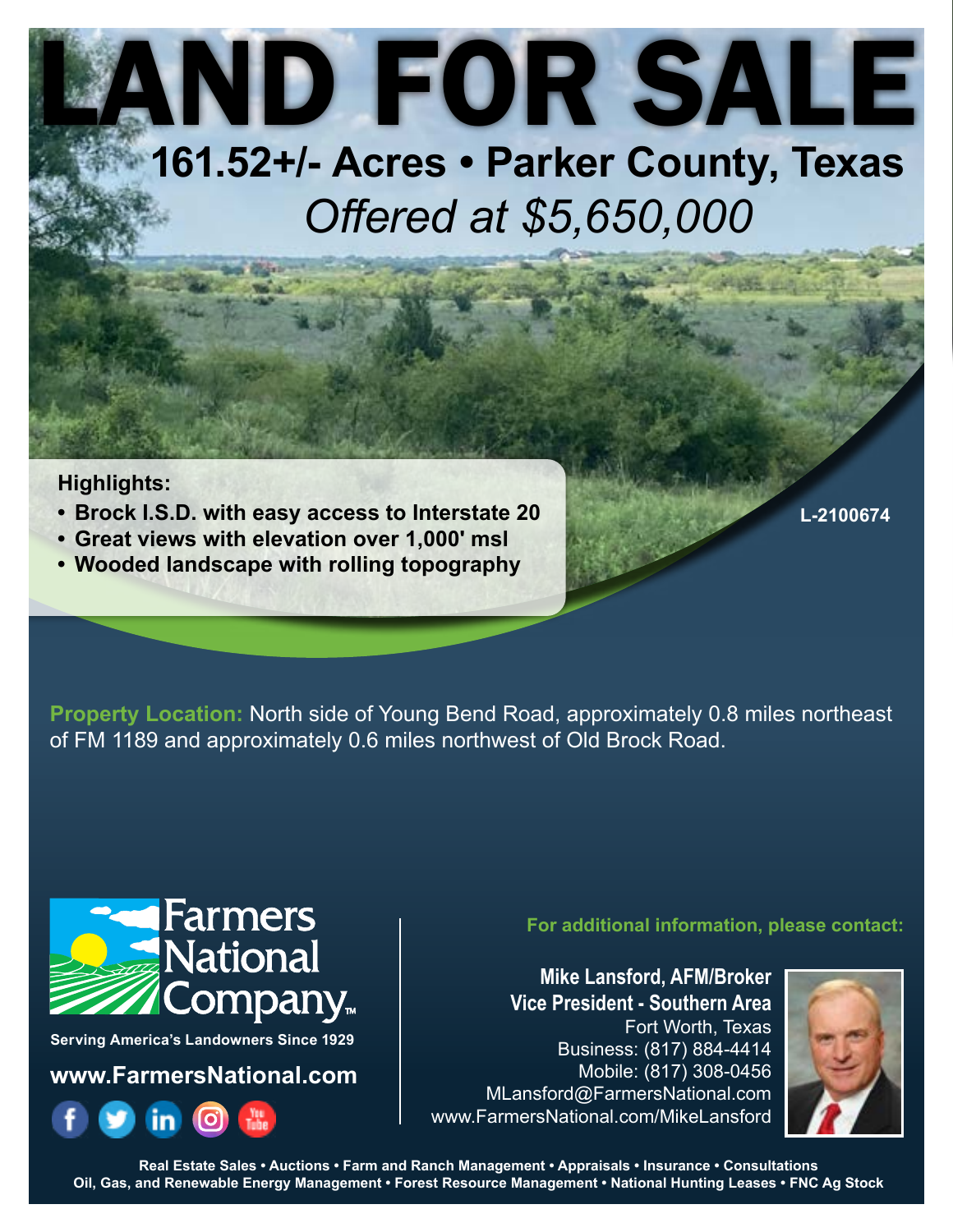## LAND FOR SALE **161.52+/- Acres • Parker County, Texas**

# *Offered at \$5,650,000*

### **Highlights:**

- **Brock I.S.D. with easy access to Interstate 20**
- **Great views with elevation over 1,000' msl**
- **Wooded landscape with rolling topography**

**L-2100674**

**Property Location:** North side of Young Bend Road, approximately 0.8 miles northeast of FM 1189 and approximately 0.6 miles northwest of Old Brock Road.



**Serving America's Landowners Since 1929**

**www.FarmersNational.com**



**For additional information, please contact:**

**Mike Lansford, AFM/Broker Vice President - Southern Area** Fort Worth, Texas Business: (817) 884-4414 Mobile: (817) 308-0456 MLansford@FarmersNational.com www.FarmersNational.com/MikeLansford



**Real Estate Sales • Auctions • Farm and Ranch Management • Appraisals • Insurance • Consultations Oil, Gas, and Renewable Energy Management • Forest Resource Management • National Hunting Leases • FNC Ag Stock**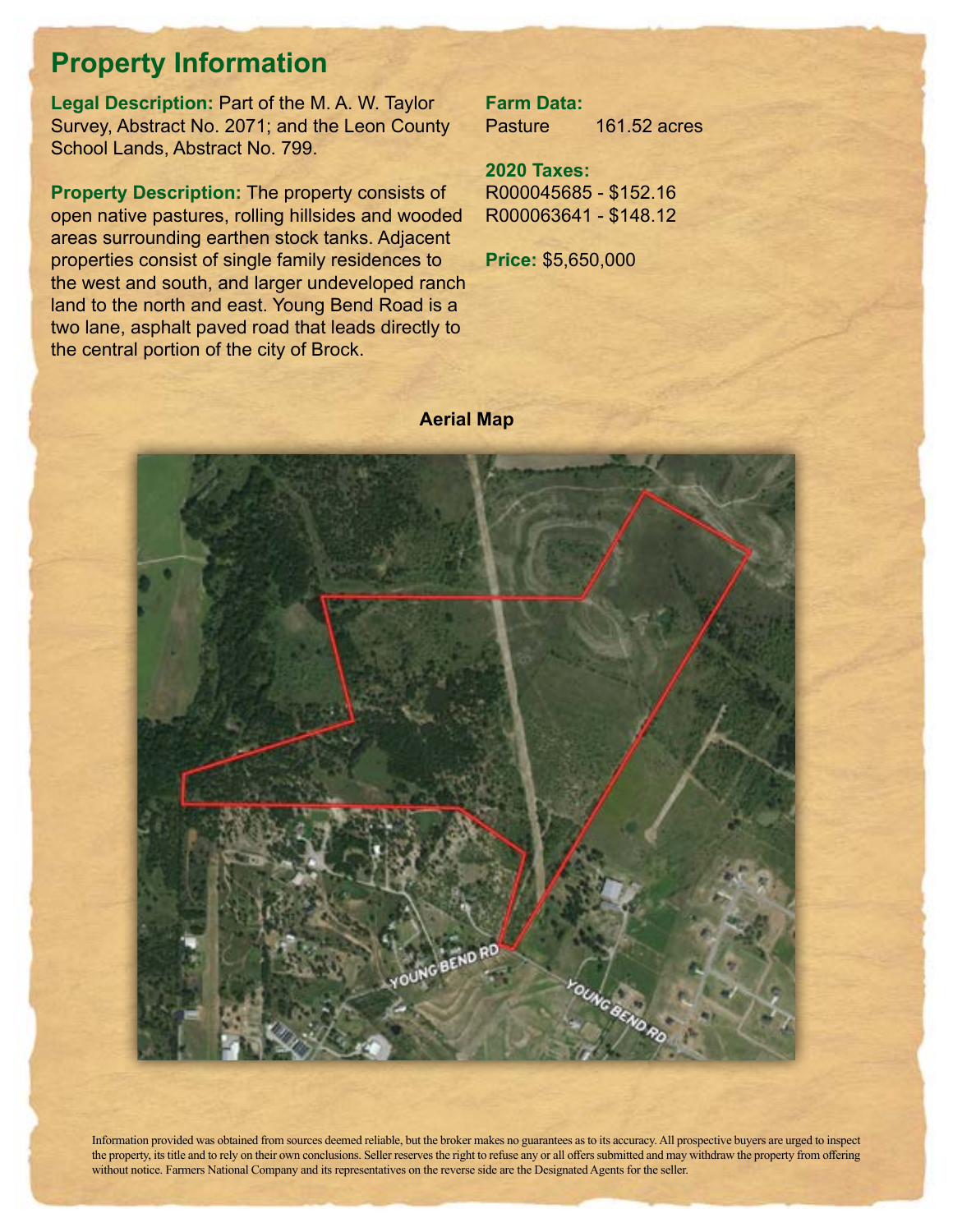### **Property Information**

**Legal Description:** Part of the M. A. W. Taylor Survey, Abstract No. 2071; and the Leon County School Lands, Abstract No. 799.

**Property Description:** The property consists of open native pastures, rolling hillsides and wooded areas surrounding earthen stock tanks. Adjacent properties consist of single family residences to the west and south, and larger undeveloped ranch land to the north and east. Young Bend Road is a two lane, asphalt paved road that leads directly to the central portion of the city of Brock.

**Farm Data:** Pasture 161.52 acres

**2020 Taxes:** R000045685 - \$152.16 R000063641 - \$148.12

**Price:** \$5,650,000

#### **Aerial Map**



Information provided was obtained from sources deemed reliable, but the broker makes no guarantees as to its accuracy. All prospective buyers are urged to inspect the property, its title and to rely on their own conclusions. Seller reserves the right to refuse any or all offers submitted and may withdraw the property from offering without notice. Farmers National Company and its representatives on the reverse side are the Designated Agents for the seller.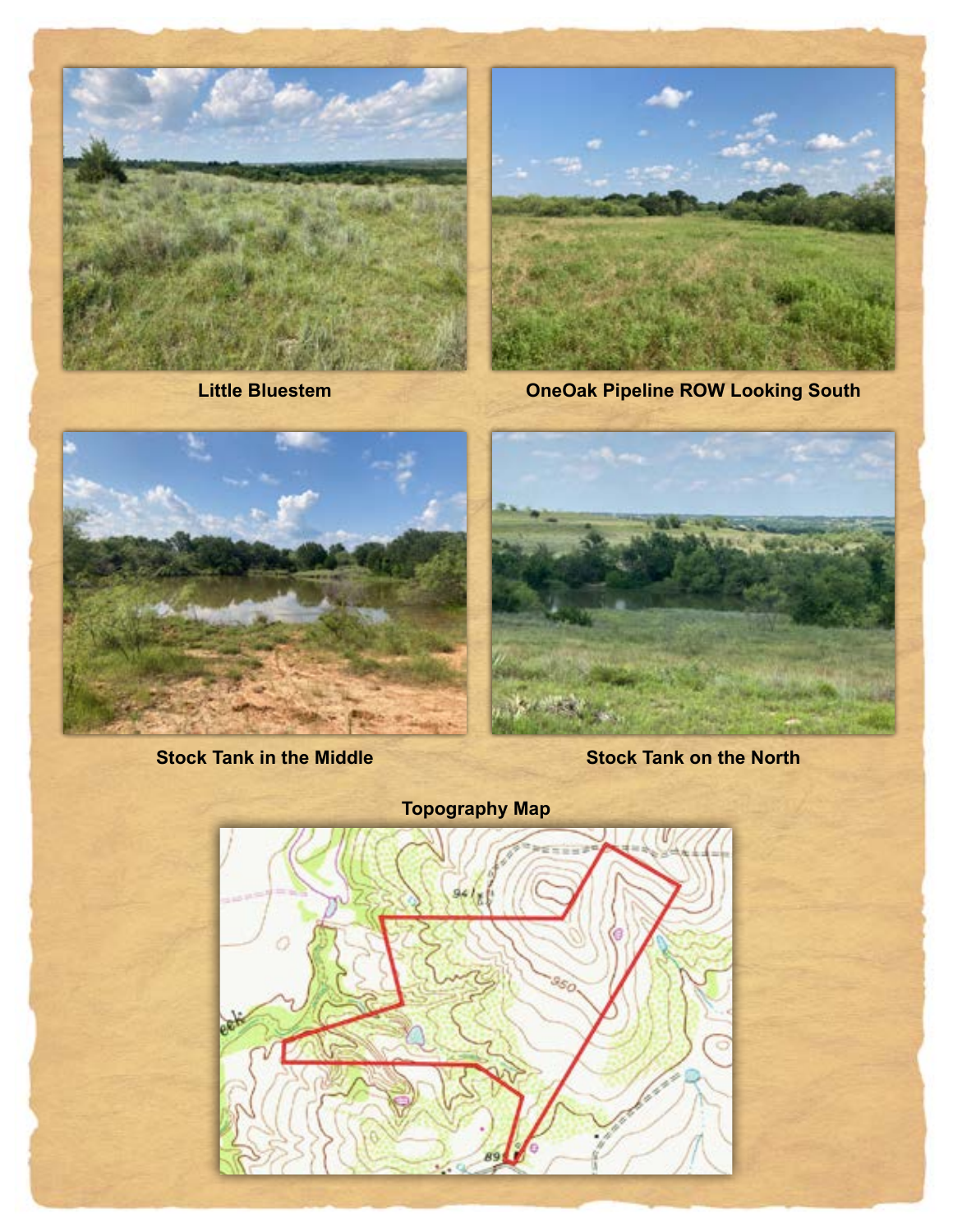



**Little Bluestem OneOak Pipeline ROW Looking South**



**Stock Tank in the Middle Stock Tank on the North**